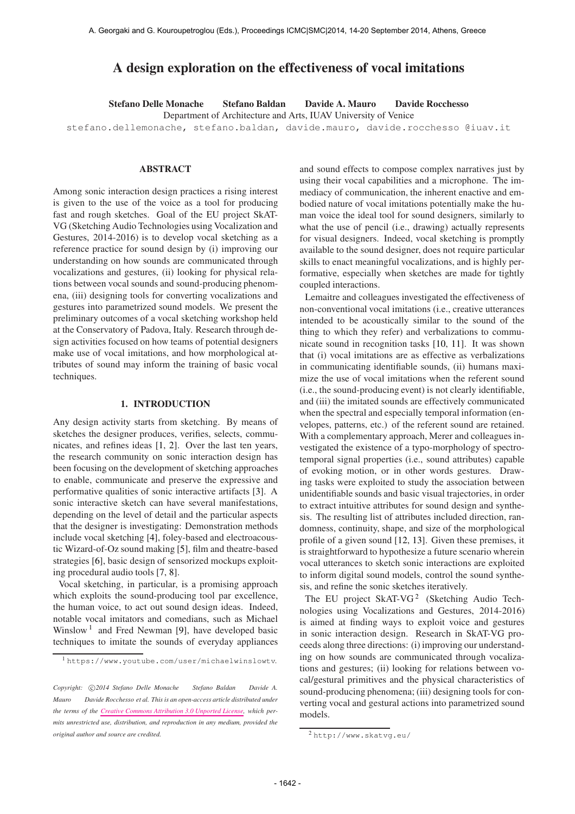# A design exploration on the effectiveness of vocal imitations

Stefano Delle Monache Stefano Baldan Davide A. Mauro Davide Rocchesso Department of Architecture and Arts, IUAV University of Venice stefano.dellemonache, stefano.baldan, davide.mauro, davide.rocchesso @iuav.it

## ABSTRACT

Among sonic interaction design practices a rising interest is given to the use of the voice as a tool for producing fast and rough sketches. Goal of the EU project SkAT-VG (Sketching Audio Technologies using Vocalization and Gestures, 2014-2016) is to develop vocal sketching as a reference practice for sound design by (i) improving our understanding on how sounds are communicated through vocalizations and gestures, (ii) looking for physical relations between vocal sounds and sound-producing phenomena, (iii) designing tools for converting vocalizations and gestures into parametrized sound models. We present the preliminary outcomes of a vocal sketching workshop held at the Conservatory of Padova, Italy. Research through design activities focused on how teams of potential designers make use of vocal imitations, and how morphological attributes of sound may inform the training of basic vocal techniques.

#### 1. INTRODUCTION

Any design activity starts from sketching. By means of sketches the designer produces, verifies, selects, communicates, and refines ideas [1, 2]. Over the last ten years, the research community on sonic interaction design has been focusing on the development of sketching approaches to enable, communicate and preserve the expressive and performative qualities of sonic interactive artifacts [3]. A sonic interactive sketch can have several manifestations, depending on the level of detail and the particular aspects that the designer is investigating: Demonstration methods include vocal sketching [4], foley-based and electroacoustic Wizard-of-Oz sound making [5], film and theatre-based strategies [6], basic design of sensorized mockups exploiting procedural audio tools [7, 8].

Vocal sketching, in particular, is a promising approach which exploits the sound-producing tool par excellence, the human voice, to act out sound design ideas. Indeed, notable vocal imitators and comedians, such as Michael Winslow<sup>1</sup> and Fred Newman [9], have developed basic techniques to imitate the sounds of everyday appliances and sound effects to compose complex narratives just by using their vocal capabilities and a microphone. The immediacy of communication, the inherent enactive and embodied nature of vocal imitations potentially make the human voice the ideal tool for sound designers, similarly to what the use of pencil (i.e., drawing) actually represents for visual designers. Indeed, vocal sketching is promptly available to the sound designer, does not require particular skills to enact meaningful vocalizations, and is highly performative, especially when sketches are made for tightly coupled interactions.

Lemaitre and colleagues investigated the effectiveness of non-conventional vocal imitations (i.e., creative utterances intended to be acoustically similar to the sound of the thing to which they refer) and verbalizations to communicate sound in recognition tasks [10, 11]. It was shown that (i) vocal imitations are as effective as verbalizations in communicating identifiable sounds, (ii) humans maximize the use of vocal imitations when the referent sound (i.e., the sound-producing event) is not clearly identifiable, and (iii) the imitated sounds are effectively communicated when the spectral and especially temporal information (envelopes, patterns, etc.) of the referent sound are retained. With a complementary approach, Merer and colleagues investigated the existence of a typo-morphology of spectrotemporal signal properties (i.e., sound attributes) capable of evoking motion, or in other words gestures. Drawing tasks were exploited to study the association between unidentifiable sounds and basic visual trajectories, in order to extract intuitive attributes for sound design and synthesis. The resulting list of attributes included direction, randomness, continuity, shape, and size of the morphological profile of a given sound [12, 13]. Given these premises, it is straightforward to hypothesize a future scenario wherein vocal utterances to sketch sonic interactions are exploited to inform digital sound models, control the sound synthesis, and refine the sonic sketches iteratively.

The EU project SkAT-VG<sup>2</sup> (Sketching Audio Technologies using Vocalizations and Gestures, 2014-2016) is aimed at finding ways to exploit voice and gestures in sonic interaction design. Research in SkAT-VG proceeds along three directions: (i) improving our understanding on how sounds are communicated through vocalizations and gestures; (ii) looking for relations between vocal/gestural primitives and the physical characteristics of sound-producing phenomena; (iii) designing tools for converting vocal and gestural actions into parametrized sound models.

<sup>1</sup> <https://www.youtube.com/user/michaelwinslowtv>.

Copyright:  $\bigcirc$ 2014 Stefano Delle Monache Stefano Baldan Davide A. *Mauro Davide Rocchesso et al. This is an open-access article distributed under the terms of the [Creative Commons Attribution 3.0 Unported License,](http://creativecommons.org/licenses/by/3.0/) which permits unrestricted use, distribution, and reproduction in any medium, provided the original author and source are credited.*

<sup>2</sup> <http://www.skatvg.eu/>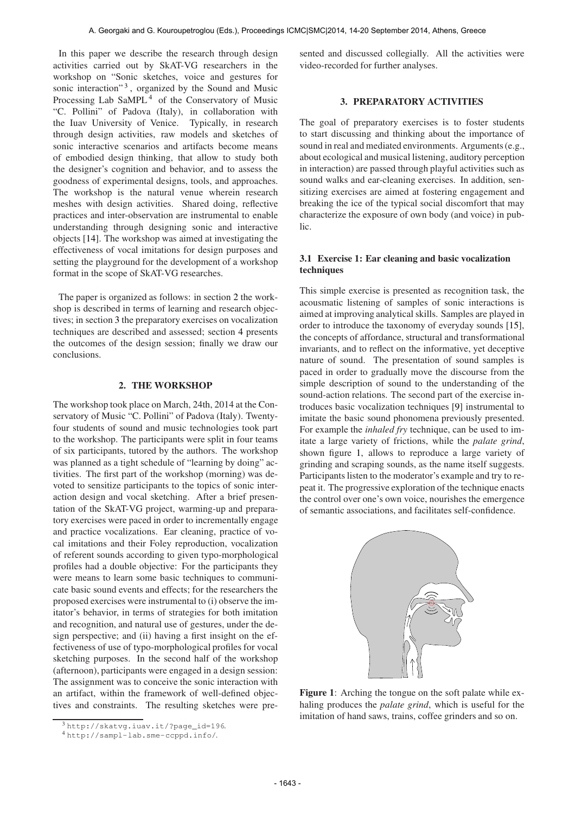In this paper we describe the research through design activities carried out by SkAT-VG researchers in the workshop on "Sonic sketches, voice and gestures for sonic interaction"<sup>3</sup>, organized by the Sound and Music Processing Lab  $SaMPL<sup>4</sup>$  of the Conservatory of Music "C. Pollini" of Padova (Italy), in collaboration with the Iuav University of Venice. Typically, in research through design activities, raw models and sketches of sonic interactive scenarios and artifacts become means of embodied design thinking, that allow to study both the designer's cognition and behavior, and to assess the goodness of experimental designs, tools, and approaches. The workshop is the natural venue wherein research meshes with design activities. Shared doing, reflective practices and inter-observation are instrumental to enable understanding through designing sonic and interactive objects [14]. The workshop was aimed at investigating the effectiveness of vocal imitations for design purposes and setting the playground for the development of a workshop format in the scope of SkAT-VG researches.

The paper is organized as follows: in section 2 the workshop is described in terms of learning and research objectives; in section 3 the preparatory exercises on vocalization techniques are described and assessed; section 4 presents the outcomes of the design session; finally we draw our conclusions.

#### 2. THE WORKSHOP

The workshop took place on March, 24th, 2014 at the Conservatory of Music "C. Pollini" of Padova (Italy). Twentyfour students of sound and music technologies took part to the workshop. The participants were split in four teams of six participants, tutored by the authors. The workshop was planned as a tight schedule of "learning by doing" activities. The first part of the workshop (morning) was devoted to sensitize participants to the topics of sonic interaction design and vocal sketching. After a brief presentation of the SkAT-VG project, warming-up and preparatory exercises were paced in order to incrementally engage and practice vocalizations. Ear cleaning, practice of vocal imitations and their Foley reproduction, vocalization of referent sounds according to given typo-morphological profiles had a double objective: For the participants they were means to learn some basic techniques to communicate basic sound events and effects; for the researchers the proposed exercises were instrumental to (i) observe the imitator's behavior, in terms of strategies for both imitation and recognition, and natural use of gestures, under the design perspective; and (ii) having a first insight on the effectiveness of use of typo-morphological profiles for vocal sketching purposes. In the second half of the workshop (afternoon), participants were engaged in a design session: The assignment was to conceive the sonic interaction with an artifact, within the framework of well-defined objectives and constraints. The resulting sketches were presented and discussed collegially. All the activities were video-recorded for further analyses.

# 3. PREPARATORY ACTIVITIES

The goal of preparatory exercises is to foster students to start discussing and thinking about the importance of sound in real and mediated environments. Arguments (e.g., about ecological and musical listening, auditory perception in interaction) are passed through playful activities such as sound walks and ear-cleaning exercises. In addition, sensitizing exercises are aimed at fostering engagement and breaking the ice of the typical social discomfort that may characterize the exposure of own body (and voice) in public.

### 3.1 Exercise 1: Ear cleaning and basic vocalization techniques

This simple exercise is presented as recognition task, the acousmatic listening of samples of sonic interactions is aimed at improving analytical skills. Samples are played in order to introduce the taxonomy of everyday sounds [15], the concepts of affordance, structural and transformational invariants, and to reflect on the informative, yet deceptive nature of sound. The presentation of sound samples is paced in order to gradually move the discourse from the simple description of sound to the understanding of the sound-action relations. The second part of the exercise introduces basic vocalization techniques [9] instrumental to imitate the basic sound phonomena previously presented. For example the *inhaled fry* technique, can be used to imitate a large variety of frictions, while the *palate grind*, shown figure 1, allows to reproduce a large variety of grinding and scraping sounds, as the name itself suggests. Participants listen to the moderator's example and try to repeat it. The progressive exploration of the technique enacts the control over one's own voice, nourishes the emergence of semantic associations, and facilitates self-confidence.



Figure 1: Arching the tongue on the soft palate while exhaling produces the *palate grind*, which is useful for the imitation of hand saws, trains, coffee grinders and so on.

<sup>3</sup> [http://skatvg.iuav.it/?page\\_id=196](http://skatvg.iuav.it/?page_id=196).

<sup>4</sup> <http://sampl-lab.sme-ccppd.info/>.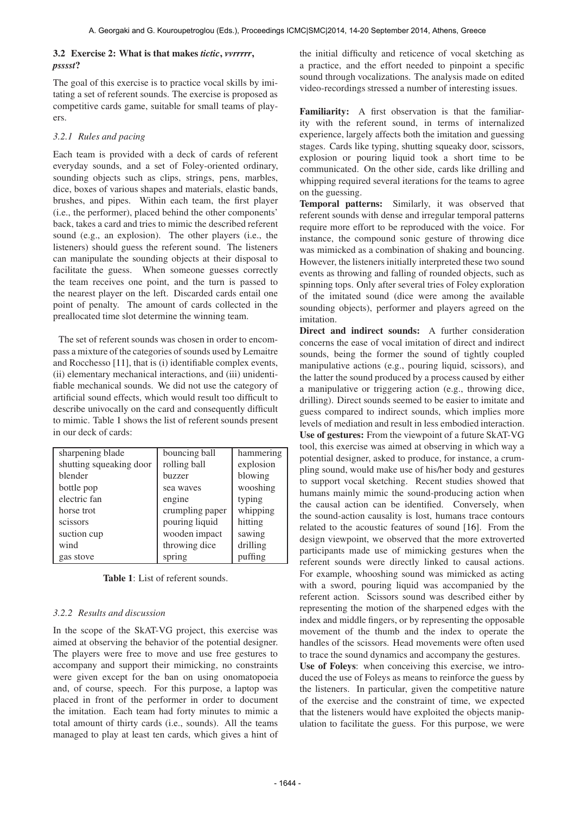# 3.2 Exercise 2: What is that makes *tictic*, *vvrrrrr*, *psssst*?

The goal of this exercise is to practice vocal skills by imitating a set of referent sounds. The exercise is proposed as competitive cards game, suitable for small teams of players.

# *3.2.1 Rules and pacing*

Each team is provided with a deck of cards of referent everyday sounds, and a set of Foley-oriented ordinary, sounding objects such as clips, strings, pens, marbles, dice, boxes of various shapes and materials, elastic bands, brushes, and pipes. Within each team, the first player (i.e., the performer), placed behind the other components' back, takes a card and tries to mimic the described referent sound (e.g., an explosion). The other players (i.e., the listeners) should guess the referent sound. The listeners can manipulate the sounding objects at their disposal to facilitate the guess. When someone guesses correctly the team receives one point, and the turn is passed to the nearest player on the left. Discarded cards entail one point of penalty. The amount of cards collected in the preallocated time slot determine the winning team.

The set of referent sounds was chosen in order to encompass a mixture of the categories of sounds used by Lemaitre and Rocchesso [11], that is (i) identifiable complex events, (ii) elementary mechanical interactions, and (iii) unidentifiable mechanical sounds. We did not use the category of artificial sound effects, which would result too difficult to describe univocally on the card and consequently difficult to mimic. Table 1 shows the list of referent sounds present in our deck of cards:

| sharpening blade        | bouncing ball   | hammering |
|-------------------------|-----------------|-----------|
| shutting squeaking door | rolling ball    | explosion |
| blender                 | buzzer          | blowing   |
| bottle pop              | sea waves       | wooshing  |
| electric fan            | engine          | typing    |
| horse trot              | crumpling paper | whipping  |
| scissors                | pouring liquid  | hitting   |
| suction cup             | wooden impact   | sawing    |
| wind                    | throwing dice   | drilling  |
| gas stove               | spring          | puffing   |

Table 1: List of referent sounds.

# *3.2.2 Results and discussion*

In the scope of the SkAT-VG project, this exercise was aimed at observing the behavior of the potential designer. The players were free to move and use free gestures to accompany and support their mimicking, no constraints were given except for the ban on using onomatopoeia and, of course, speech. For this purpose, a laptop was placed in front of the performer in order to document the imitation. Each team had forty minutes to mimic a total amount of thirty cards (i.e., sounds). All the teams managed to play at least ten cards, which gives a hint of the initial difficulty and reticence of vocal sketching as a practice, and the effort needed to pinpoint a specific sound through vocalizations. The analysis made on edited video-recordings stressed a number of interesting issues.

Familiarity: A first observation is that the familiarity with the referent sound, in terms of internalized experience, largely affects both the imitation and guessing stages. Cards like typing, shutting squeaky door, scissors, explosion or pouring liquid took a short time to be communicated. On the other side, cards like drilling and whipping required several iterations for the teams to agree on the guessing.

Temporal patterns: Similarly, it was observed that referent sounds with dense and irregular temporal patterns require more effort to be reproduced with the voice. For instance, the compound sonic gesture of throwing dice was mimicked as a combination of shaking and bouncing. However, the listeners initially interpreted these two sound events as throwing and falling of rounded objects, such as spinning tops. Only after several tries of Foley exploration of the imitated sound (dice were among the available sounding objects), performer and players agreed on the imitation.

Direct and indirect sounds: A further consideration concerns the ease of vocal imitation of direct and indirect sounds, being the former the sound of tightly coupled manipulative actions (e.g., pouring liquid, scissors), and the latter the sound produced by a process caused by either a manipulative or triggering action (e.g., throwing dice, drilling). Direct sounds seemed to be easier to imitate and guess compared to indirect sounds, which implies more levels of mediation and result in less embodied interaction. Use of gestures: From the viewpoint of a future SkAT-VG tool, this exercise was aimed at observing in which way a potential designer, asked to produce, for instance, a crumpling sound, would make use of his/her body and gestures to support vocal sketching. Recent studies showed that humans mainly mimic the sound-producing action when the causal action can be identified. Conversely, when the sound-action causality is lost, humans trace contours related to the acoustic features of sound [16]. From the design viewpoint, we observed that the more extroverted participants made use of mimicking gestures when the referent sounds were directly linked to causal actions. For example, whooshing sound was mimicked as acting with a sword, pouring liquid was accompanied by the referent action. Scissors sound was described either by representing the motion of the sharpened edges with the index and middle fingers, or by representing the opposable movement of the thumb and the index to operate the handles of the scissors. Head movements were often used to trace the sound dynamics and accompany the gestures.

Use of Foleys: when conceiving this exercise, we introduced the use of Foleys as means to reinforce the guess by the listeners. In particular, given the competitive nature of the exercise and the constraint of time, we expected that the listeners would have exploited the objects manipulation to facilitate the guess. For this purpose, we were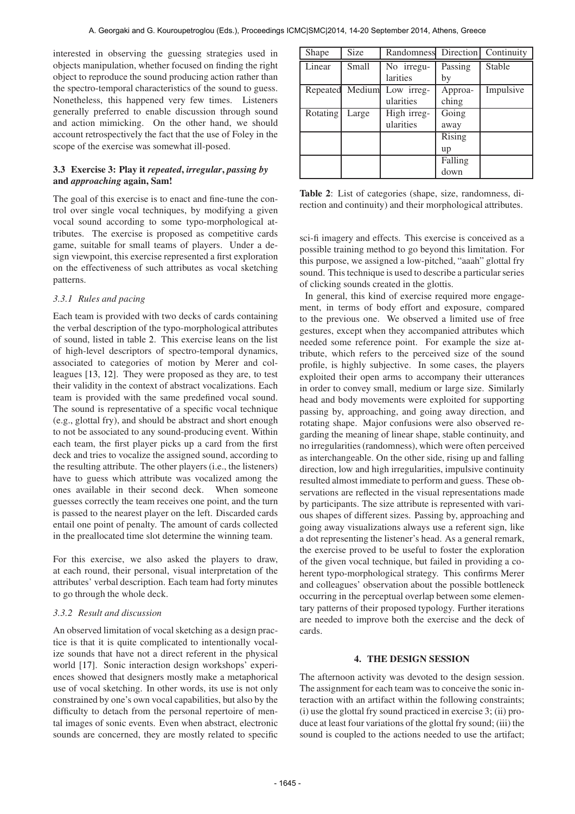interested in observing the guessing strategies used in objects manipulation, whether focused on finding the right object to reproduce the sound producing action rather than the spectro-temporal characteristics of the sound to guess. Nonetheless, this happened very few times. Listeners generally preferred to enable discussion through sound and action mimicking. On the other hand, we should account retrospectively the fact that the use of Foley in the scope of the exercise was somewhat ill-posed.

# 3.3 Exercise 3: Play it *repeated*, *irregular*, *passing by* and *approaching* again, Sam!

The goal of this exercise is to enact and fine-tune the control over single vocal techniques, by modifying a given vocal sound according to some typo-morphological attributes. The exercise is proposed as competitive cards game, suitable for small teams of players. Under a design viewpoint, this exercise represented a first exploration on the effectiveness of such attributes as vocal sketching patterns.

### *3.3.1 Rules and pacing*

Each team is provided with two decks of cards containing the verbal description of the typo-morphological attributes of sound, listed in table 2. This exercise leans on the list of high-level descriptors of spectro-temporal dynamics, associated to categories of motion by Merer and colleagues [13, 12]. They were proposed as they are, to test their validity in the context of abstract vocalizations. Each team is provided with the same predefined vocal sound. The sound is representative of a specific vocal technique (e.g., glottal fry), and should be abstract and short enough to not be associated to any sound-producing event. Within each team, the first player picks up a card from the first deck and tries to vocalize the assigned sound, according to the resulting attribute. The other players (i.e., the listeners) have to guess which attribute was vocalized among the ones available in their second deck. When someone guesses correctly the team receives one point, and the turn is passed to the nearest player on the left. Discarded cards entail one point of penalty. The amount of cards collected in the preallocated time slot determine the winning team.

For this exercise, we also asked the players to draw, at each round, their personal, visual interpretation of the attributes' verbal description. Each team had forty minutes to go through the whole deck.

### *3.3.2 Result and discussion*

An observed limitation of vocal sketching as a design practice is that it is quite complicated to intentionally vocalize sounds that have not a direct referent in the physical world [17]. Sonic interaction design workshops' experiences showed that designers mostly make a metaphorical use of vocal sketching. In other words, its use is not only constrained by one's own vocal capabilities, but also by the difficulty to detach from the personal repertoire of mental images of sonic events. Even when abstract, electronic sounds are concerned, they are mostly related to specific

| Shape    | Size         | Randomness  | Direction | Continuity |
|----------|--------------|-------------|-----------|------------|
| Linear   | <b>Small</b> | No irregu-  | Passing   | Stable     |
|          |              | larities    | by        |            |
| Repeated | Medium       | Low irreg-  | Approa-   | Impulsive  |
|          |              | ularities   | ching     |            |
| Rotating | Large        | High irreg- | Going     |            |
|          |              | ularities   | away      |            |
|          |              |             | Rising    |            |
|          |              |             | up        |            |
|          |              |             | Falling   |            |
|          |              |             | down      |            |

Table 2: List of categories (shape, size, randomness, direction and continuity) and their morphological attributes.

sci-fi imagery and effects. This exercise is conceived as a possible training method to go beyond this limitation. For this purpose, we assigned a low-pitched, "aaah" glottal fry sound. This technique is used to describe a particular series of clicking sounds created in the glottis.

In general, this kind of exercise required more engagement, in terms of body effort and exposure, compared to the previous one. We observed a limited use of free gestures, except when they accompanied attributes which needed some reference point. For example the size attribute, which refers to the perceived size of the sound profile, is highly subjective. In some cases, the players exploited their open arms to accompany their utterances in order to convey small, medium or large size. Similarly head and body movements were exploited for supporting passing by, approaching, and going away direction, and rotating shape. Major confusions were also observed regarding the meaning of linear shape, stable continuity, and no irregularities (randomness), which were often perceived as interchangeable. On the other side, rising up and falling direction, low and high irregularities, impulsive continuity resulted almost immediate to perform and guess. These observations are reflected in the visual representations made by participants. The size attribute is represented with various shapes of different sizes. Passing by, approaching and going away visualizations always use a referent sign, like a dot representing the listener's head. As a general remark, the exercise proved to be useful to foster the exploration of the given vocal technique, but failed in providing a coherent typo-morphological strategy. This confirms Merer and colleagues' observation about the possible bottleneck occurring in the perceptual overlap between some elementary patterns of their proposed typology. Further iterations are needed to improve both the exercise and the deck of cards.

### 4. THE DESIGN SESSION

The afternoon activity was devoted to the design session. The assignment for each team was to conceive the sonic interaction with an artifact within the following constraints; (i) use the glottal fry sound practiced in exercise 3; (ii) produce at least four variations of the glottal fry sound; (iii) the sound is coupled to the actions needed to use the artifact;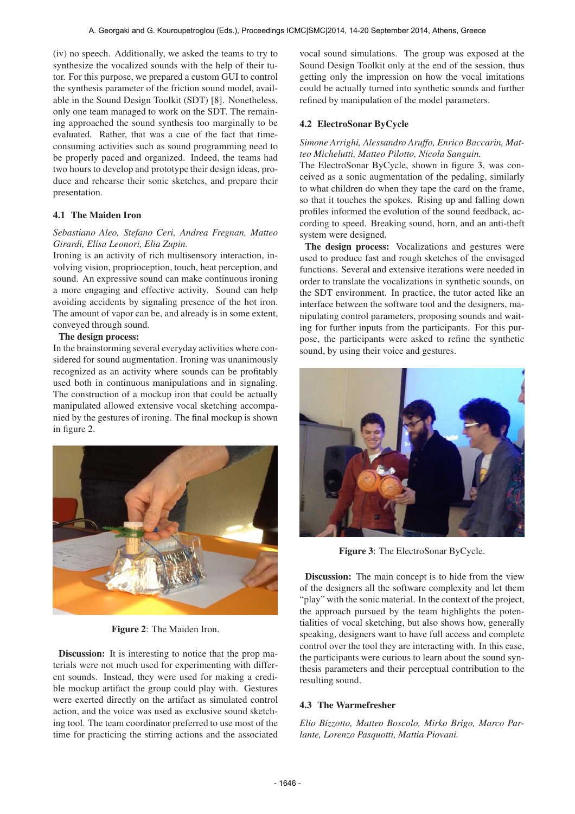(iv) no speech. Additionally, we asked the teams to try to synthesize the vocalized sounds with the help of their tutor. For this purpose, we prepared a custom GUI to control the synthesis parameter of the friction sound model, available in the Sound Design Toolkit (SDT) [8]. Nonetheless, only one team managed to work on the SDT. The remaining approached the sound synthesis too marginally to be evaluated. Rather, that was a cue of the fact that timeconsuming activities such as sound programming need to be properly paced and organized. Indeed, the teams had two hours to develop and prototype their design ideas, produce and rehearse their sonic sketches, and prepare their presentation.

# 4.1 The Maiden Iron

# *Sebastiano Aleo, Stefano Ceri, Andrea Fregnan, Matteo Girardi, Elisa Leonori, Elia Zupin.*

Ironing is an activity of rich multisensory interaction, involving vision, proprioception, touch, heat perception, and sound. An expressive sound can make continuous ironing a more engaging and effective activity. Sound can help avoiding accidents by signaling presence of the hot iron. The amount of vapor can be, and already is in some extent, conveyed through sound.

### The design process:

In the brainstorming several everyday activities where considered for sound augmentation. Ironing was unanimously recognized as an activity where sounds can be profitably used both in continuous manipulations and in signaling. The construction of a mockup iron that could be actually manipulated allowed extensive vocal sketching accompanied by the gestures of ironing. The final mockup is shown in figure 2.



Figure 2: The Maiden Iron.

Discussion: It is interesting to notice that the prop materials were not much used for experimenting with different sounds. Instead, they were used for making a credible mockup artifact the group could play with. Gestures were exerted directly on the artifact as simulated control action, and the voice was used as exclusive sound sketching tool. The team coordinator preferred to use most of the time for practicing the stirring actions and the associated

vocal sound simulations. The group was exposed at the Sound Design Toolkit only at the end of the session, thus getting only the impression on how the vocal imitations could be actually turned into synthetic sounds and further refined by manipulation of the model parameters.

# 4.2 ElectroSonar ByCycle

# *Simone Arrighi, Alessandro Aruffo, Enrico Baccarin, Matteo Michelutti, Matteo Pilotto, Nicola Sanguin.*

The ElectroSonar ByCycle, shown in figure 3, was conceived as a sonic augmentation of the pedaling, similarly to what children do when they tape the card on the frame, so that it touches the spokes. Rising up and falling down profiles informed the evolution of the sound feedback, according to speed. Breaking sound, horn, and an anti-theft system were designed.

The design process: Vocalizations and gestures were used to produce fast and rough sketches of the envisaged functions. Several and extensive iterations were needed in order to translate the vocalizations in synthetic sounds, on the SDT environment. In practice, the tutor acted like an interface between the software tool and the designers, manipulating control parameters, proposing sounds and waiting for further inputs from the participants. For this purpose, the participants were asked to refine the synthetic sound, by using their voice and gestures.



Figure 3: The ElectroSonar ByCycle.

Discussion: The main concept is to hide from the view of the designers all the software complexity and let them "play" with the sonic material. In the context of the project, the approach pursued by the team highlights the potentialities of vocal sketching, but also shows how, generally speaking, designers want to have full access and complete control over the tool they are interacting with. In this case, the participants were curious to learn about the sound synthesis parameters and their perceptual contribution to the resulting sound.

# 4.3 The Warmefresher

*Elio Bizzotto, Matteo Boscolo, Mirko Brigo, Marco Parlante, Lorenzo Pasquotti, Mattia Piovani.*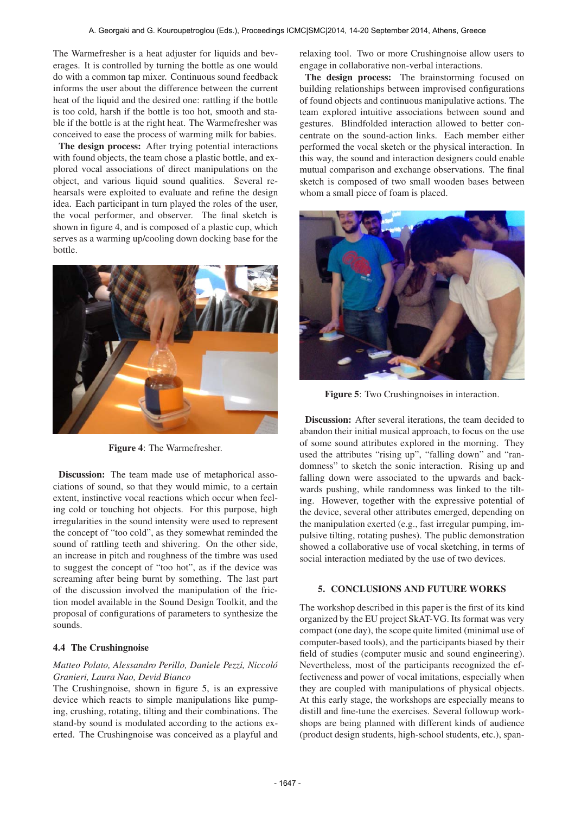The Warmefresher is a heat adjuster for liquids and beverages. It is controlled by turning the bottle as one would do with a common tap mixer. Continuous sound feedback informs the user about the difference between the current heat of the liquid and the desired one: rattling if the bottle is too cold, harsh if the bottle is too hot, smooth and stable if the bottle is at the right heat. The Warmefresher was conceived to ease the process of warming milk for babies.

The design process: After trying potential interactions with found objects, the team chose a plastic bottle, and explored vocal associations of direct manipulations on the object, and various liquid sound qualities. Several rehearsals were exploited to evaluate and refine the design idea. Each participant in turn played the roles of the user, the vocal performer, and observer. The final sketch is shown in figure 4, and is composed of a plastic cup, which serves as a warming up/cooling down docking base for the bottle.



Figure 4: The Warmefresher.

Discussion: The team made use of metaphorical associations of sound, so that they would mimic, to a certain extent, instinctive vocal reactions which occur when feeling cold or touching hot objects. For this purpose, high irregularities in the sound intensity were used to represent the concept of "too cold", as they somewhat reminded the sound of rattling teeth and shivering. On the other side, an increase in pitch and roughness of the timbre was used to suggest the concept of "too hot", as if the device was screaming after being burnt by something. The last part of the discussion involved the manipulation of the friction model available in the Sound Design Toolkit, and the proposal of configurations of parameters to synthesize the sounds.

### 4.4 The Crushingnoise

## *Matteo Polato, Alessandro Perillo, Daniele Pezzi, Niccolo´ Granieri, Laura Nao, Devid Bianco*

The Crushingnoise, shown in figure 5, is an expressive device which reacts to simple manipulations like pumping, crushing, rotating, tilting and their combinations. The stand-by sound is modulated according to the actions exerted. The Crushingnoise was conceived as a playful and relaxing tool. Two or more Crushingnoise allow users to engage in collaborative non-verbal interactions.

The design process: The brainstorming focused on building relationships between improvised configurations of found objects and continuous manipulative actions. The team explored intuitive associations between sound and gestures. Blindfolded interaction allowed to better concentrate on the sound-action links. Each member either performed the vocal sketch or the physical interaction. In this way, the sound and interaction designers could enable mutual comparison and exchange observations. The final sketch is composed of two small wooden bases between whom a small piece of foam is placed.



Figure 5: Two Crushingnoises in interaction.

Discussion: After several iterations, the team decided to abandon their initial musical approach, to focus on the use of some sound attributes explored in the morning. They used the attributes "rising up", "falling down" and "randomness" to sketch the sonic interaction. Rising up and falling down were associated to the upwards and backwards pushing, while randomness was linked to the tilting. However, together with the expressive potential of the device, several other attributes emerged, depending on the manipulation exerted (e.g., fast irregular pumping, impulsive tilting, rotating pushes). The public demonstration showed a collaborative use of vocal sketching, in terms of social interaction mediated by the use of two devices.

### 5. CONCLUSIONS AND FUTURE WORKS

The workshop described in this paper is the first of its kind organized by the EU project SkAT-VG. Its format was very compact (one day), the scope quite limited (minimal use of computer-based tools), and the participants biased by their field of studies (computer music and sound engineering). Nevertheless, most of the participants recognized the effectiveness and power of vocal imitations, especially when they are coupled with manipulations of physical objects. At this early stage, the workshops are especially means to distill and fine-tune the exercises. Several followup workshops are being planned with different kinds of audience (product design students, high-school students, etc.), span